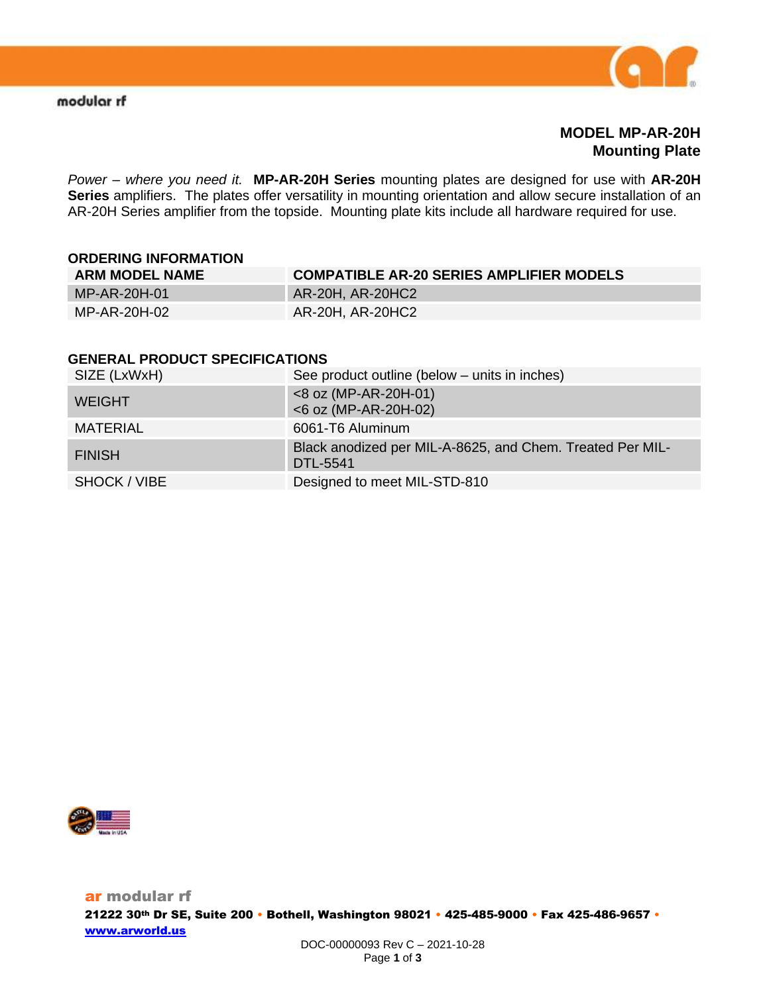

## **MODEL MP-AR-20H Mounting Plate**

*Power – where you need it.* **MP-AR-20H Series** mounting plates are designed for use with **AR-20H Series** amplifiers. The plates offer versatility in mounting orientation and allow secure installation of an AR-20H Series amplifier from the topside. Mounting plate kits include all hardware required for use.

# **ORDERING INFORMATION ARM MODEL NAME COMPATIBLE AR-20 SERIES AMPLIFIER MODELS** MP-AR-20H-01 AR-20H, AR-20HC2 MP-AR-20H-02 **AR-20H, AR-20HC2**

#### **GENERAL PRODUCT SPECIFICATIONS**

| SIZE (LxWxH)  | See product outline (below – units in inches)                         |
|---------------|-----------------------------------------------------------------------|
| <b>WEIGHT</b> | <8 oz (MP-AR-20H-01)<br><6 oz (MP-AR-20H-02)                          |
| MATERIAL      | 6061-T6 Aluminum                                                      |
| <b>FINISH</b> | Black anodized per MIL-A-8625, and Chem. Treated Per MIL-<br>DTL-5541 |
| SHOCK / VIBE  | Designed to meet MIL-STD-810                                          |

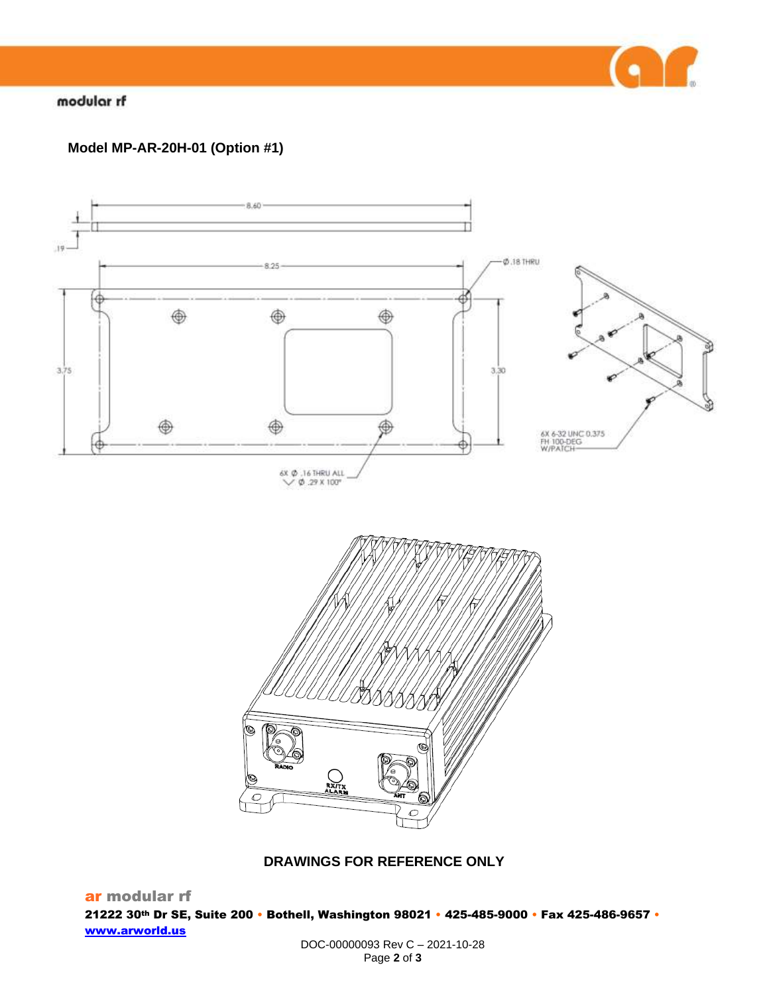

## modular rf

# **Model MP-AR-20H-01 (Option #1)**



### **DRAWINGS FOR REFERENCE ONLY**

ar modular rf 21222 30th Dr SE, Suite 200 • Bothell, Washington 98021 • 425-485-9000 • Fax 425-486-9657 • [www.arworld.us](http://www.arworld.us/)